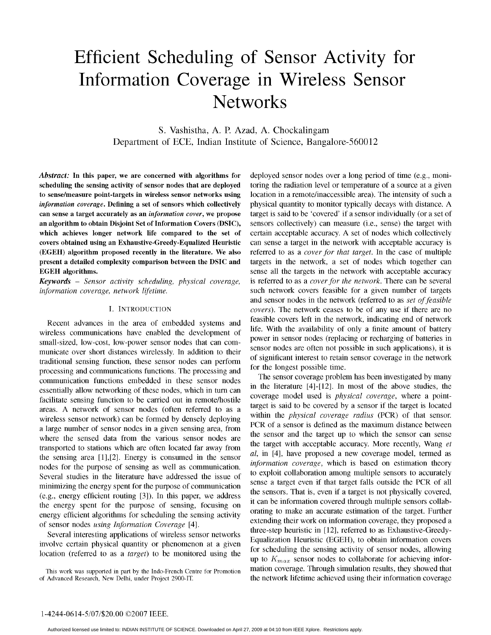# Efficient Scheduling of Sensor Activity for Information Coverage in Wireless Sensor **Networks**

S. Vashistha, A. P. Azad, A. Chockalingam Department of ECE, Indian Institute of Science, Bangalore-560012

scheduling the sensing activity of sensor nodes that are deployed toring the radiation level or temperature of a source at a given to sense/measure point-targets in wireless sensor networks using location in a remote/inaccessible area). The intensity of such a information coverage. Defining a set of sensors which collectively physical quantity to monitor typically decays with distance. A can sense a target accurately as an *information cover*, we propose target is said to be 'covered' if a sensor individually (or a set of an algorithm to obtain Disjoint Set of Information Covers (DSIC), sensors collectively) can measure (i.e., sense) the target with which achieves longer network life compared to the set of certain acceptable accuracy. A set of nodes which collectively covers obtained using an Exhaustive-Greedy-Equalized Heuristic can sense a target in the network with acceptable accuracy is (EGEH) algorithm proposed recently in the literature. We also referred to as <sup>a</sup> cover for that target. In the case of multiple present a detailed complexity comparison between the DSIC and targets in the network, a set of nodes which together can EGEH algorithms. Sense all the targets in the network with acceptable accuracy

information coverage, network lifetime. such network covers feasible for a given number of targets

wireless communications have enabled the development of small-sized, low-cost, low-power sensor nodes that can communicate over short distances wirelessly. In addition to their sensor nodes are often not possible in such applications), it is<br>traditional sensite function, these sensor nodes can perform of significant interest to retain traditional sensing function, these sensor nodes can perform of significant interest to retain sensor coverage in the network of the network of the network of the network of the network of the network of the network of the processing and communications functions. The processing and for the longest possible time.<br>The sensor coverage problem has been investigated by many communication functions embedded in these sensor nodes essentially allow networking of these nodes, which in turn can facilitate sensing function to be carried out in remote/hostile<br>coverage model used is physical coverage, where a point-<br>coverage  $\Lambda$  patucals of sensor podes (often referred to see a larget is said to be covered by a sen areas. A network of sensor nodes (often referred to as a target is said to be covered by a sensor if the target is located<br>within the *physical coverage radius* (PCR) of that sensor. wireless sensor network) can be formed by densely deploying a large number of sensor nodes in a given sensing area, from where the sensed data from the various sensor nodes are the sensor and the target up to which the sensor can sense<br>where the sensed to atations which are often located for www. from transported to stations which are often located far away from  $\frac{d}{dt}$  in [4], have proposed a new coverage model, termed as the sensing area  $[1]$ ,  $[2]$ . Energy is consumed in the sensor  $a_i$ , in  $[4]$ , have proposed a new coverage model, termed as nodes for the purpose of sensing as well as communication. *information coverage*, which is based on estimation theory Several studies in the literature have addressed the issue of minimizing the energy spent for the purpose of communication sense a target even if that target falls outside the PCR of all  $\mu$  the sense a target even if a target is not physically covered, (e.g., energy efficient routing [3]). In this paper, we address the sensors. That is, even if a target is not physically covered, the sensors collabthe energy spent for the purpose of sensing, focusing on it can be information covered through multiple sensors condu-<br>orating to make an accurate estimation of the target. Further

Several interesting applications of wireless sensor networks location (referred to as a target) to be monitored using the

Abstract: In this paper, we are concerned with algorithms for deployed sensor nodes over a long period of time (e.g., moni-Keywords - Sensor activity scheduling, physical coverage, is referred to as a cover for the network. There can be several and sensor nodes in the network (referred to as set of feasible I. INTRODUCTION covers). The network ceases to be of any use if there are no Recent advances in the area of embedded systems and feasible covers left in the network, indicating end of network<br>incluse communications have enabled the davelopment of life. With the availability of only a finite amount power in sensor nodes (replacing or recharging of batteries in sensor nodes are often not possible in such applications), it is

in the literature  $[4]-[12]$ . In most of the above studies, the coverage model used is *physical coverage*, where a point-PCR of <sup>a</sup> sensor is defined as the maximum distance between energy efficient algorithms for scheduling the sensing activity<br>of sensor nodes using Information Coverage [4].<br>Several interesting employment interesting of wireless conservatively Equalization Heuristic (EGEH), to obtain information covers involve certain physical quantity or phenomenon at a given for scheduling the sensing activity of sensor nodes, allowing leastion (referred to as a tangel) to be up to  $K_{max}$  sensor nodes to collaborate for achieving infor-This work was supported in part by the Indo-French Centre for Promotion mation coverage. Through simulation results, they showed that the network lifetime achieved using their information coverage of Advanced Research, New the network lifetime achieved using their information coverage.

### 1-4244-0614-5/07/\$20.00 ©2007 IEEE.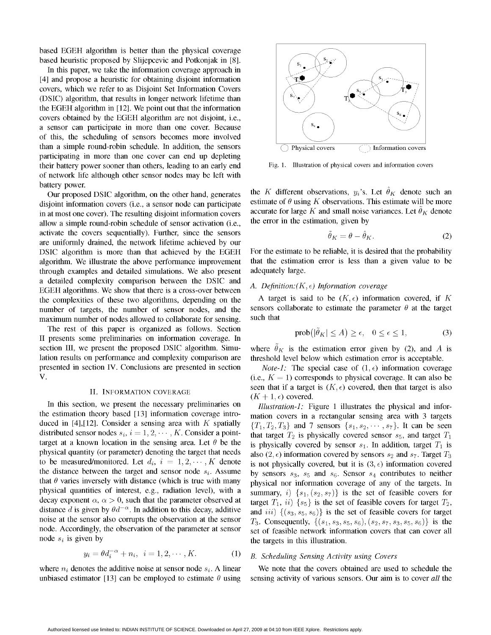based EGEH algorithm is better than the physical coverage based heuristic proposed by Slijepcevic and Potkonjak in [8].

In this paper, we take the information coverage approach in [4] and propose a heuristic for obtaining disjoint information covers, which we refer to as Disjoint Set Information Covers (DSIC) algorithm, that results in longer network lifetime than the EGEH algorithm in [12]. We point out that the information covers obtained by the EGEH algorithm are not disjoint, i.e.,  $\begin{array}{c} \begin{array}{c} \circ \\ \circ \end{array} \end{array}$ a sensor can participate in more than one cover. Because of this, the scheduling of sensors becomes more involved than a simple round-robin schedule. In addition, the sensors  $\Box$  Physical covers  $\Box$  Information covers participating in more than one cover can end up depleting their battery power sooner than others, leading to an early end Fig. 1. Illustration of physical covers and information covers of network life although other sensor nodes may be left with battery power.

disjoint information covers (i.e., a sensor node can participate estimate of  $\theta$  using K observations. This estimate will be more in at most one cover). The resulting disjoint information covers accurate for large K and small noise variances. Let  $\theta_K$  denote allow a simple round-robin schedule of sensor activation (i.e., the error in the estimation allow a simple round-robin schedule of sensor activation (i.e., activate the covers sequentially). Further, since the sensors are uniformly drained, the network lifetime achieved by our DSIC algorithm is more than that achieved by the EGEH For the estimate to be reliable, it is desired that the probability algorithm. We illustrate the above performance improvement that the estimation error is less than a algorithm. We illustrate the above performance improvement through examples and detailed simulations. We also present adequately large. a detailed complexity comparison between the DSIC and  $A$ . Definition:( $K$ , $\epsilon$ ) Information coverage EGEH algorithms. We show that there is <sup>a</sup> cross-over between the complexities of these two algorithms, depending on the A target is said to be  $(K, \epsilon)$  information covered, if K number of target is said to be  $(K, \epsilon)$  information covered, if K number of target number of targets, the number of sensor nodes, and the sensors container number of nodes allowed to collaborate for sensing such that maximum number of nodes allowed to collaborate for sensing.

The rest of this paper is organized as follows. Section II presents some preliminaries on information coverage. In section III, we present the proposed DSIC algorithm. Simu- where  $\tilde{\theta}_K$  is the estimation error given by (2), and A is lation results on performance and complexity comparison are threshold level below which estimation error is acceptable. presented in section IV. Conclusions are presented in section  $Note-1$ : The special case of  $(1, \epsilon)$  information coverage

In this section, we present the necessary preliminaries on *Illustration-1*: Figure 1 illustrates the physical and inforthe estimation theory based [13] information coverage intro- mation covers in a rectangular sensing area with 3 targets duced in [4],[12]. Consider a sensing area with K spatially  $\{T_1, T_2, T_3\}$  and 7 sensors  $\{s_1, s_2, \dots, s_7\}$ . It can be seen distributed sensor nodes  $s_i$ ,  $i = 1, 2, \dots, K$ . Consider a point-<br>that target  $T_2$  is physically covered sensor  $s_5$ , and target  $T_1$ target at a known location in the sensing area. Let  $\theta$  be the is physically covered by sensor  $s_1$ . In addition, target  $T_1$  is physical quantity (or parameter) denoting the target that needs also (2  $\epsilon$ ) information to be measured/monitored. Let  $d_i$ ,  $i = 1, 2, \dots, K$  denote is not physically covered, but it is  $(3, \epsilon)$  information covered the distance between the target and sensor node  $s_i$ . Assume by sensors  $s_3$ ,  $s_5$  and  $s_6$ . Sensor  $s_4$  contributes to neither that  $\theta$  varies inversely with distance (which is true with many physical nor information coverage of any of the targets. In physical quantities of interest, e.g., radiation level), with a summary, i)  $\{s_1, (s_2, s_7)\}$  is the set of feasible covers for decay exponent  $\alpha$ ,  $\alpha > 0$ , such that the parameter observed at target  $T_1$ ,  $ii)$  { $s_5$ } is the set of feasible covers for target  $T_2$ , distance d is given by  $\theta d^{-\alpha}$ . In addition to this decay, additive and  $iii)$  {(s<sub>3</sub>, s<sub>5</sub>, s<sub>6</sub>)} is the set of feasible covers for target noise at the sensor also corrupts the observation at the sensor  $T_3$ . Consequently,  $\{(s_1, s_3, s_5, s_6), (s_2, s_7, s_3, s_5, s_6)\}$  is the node. Accordingly, the observation of the parameter at sensor set of feasible network node  $s_i$  is given by the targets in this illustration.

$$
y_i = \theta d_i^{-\alpha} + n_i, \ \ i = 1, 2, \cdots, K.
$$
 (1)



Our proposed DSIC algorithm, on the other hand, generates the K different observations,  $y_i$ 's. Let  $\hat{\theta}_K$  denote such an

$$
\ddot{\theta}_K = \theta - \ddot{\theta}_K. \tag{2}
$$

$$
\text{prob}\big(|\tilde{\theta}_K| \le A\big) \ge \epsilon, \quad 0 \le \epsilon \le 1,\tag{3}
$$

V.  $\mathbf{V}$  (i.e.,  $K = 1$ ) corresponds to physical coverage. It can also be seen that if a target is  $(K, \epsilon)$  covered, then that target is also II. INFORMATION COVERAGE SEE Mat I a target

> also (2,  $\epsilon$ ) information covered by sensors  $s_2$  and  $s_7$ . Target  $T_3$ set of feasible network information covers that can cover all

### B. Scheduling Sensing Activity using Covers

where  $n_i$  denotes the additive noise at sensor node  $s_i$ . A linear We note that the covers obtained are used to schedule the unbiased estimator [13] can be employed to estimate  $\theta$  using sensing activity of various sensors. Our aim is to cover all the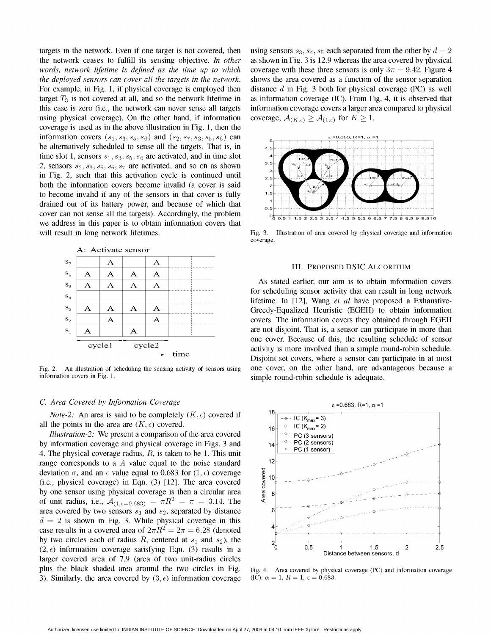targets in the network. Even if one target is not covered, then using sensors  $s_3$ ,  $s_4$ ,  $s_5$  each separated from the other by  $d = 2$ the network ceases to fulfill its sensing objective. In other as shown in Fig. 3 is 12.9 whereas the area covered by physical words, network lifetime is defined as the time up to which coverage with these three sensors is only  $3\pi = 9.42$ . Figure 4 the deployed sensors can cover all the targets in the network. shows the area covered as a function of the sensor separation For example, in Fig. 1, if physical coverage is employed then distance d in Fig. 3 both for physical coverage (PC) as well target  $T_3$  is not covered at all, and so the network lifetime in as information coverage (IC). From Fig. 4, it is observed that this case is zero (i.e., the network can never sense all targets information coverage covers a larger area compared to physical using physical coverage). On the other hand, if information coverage,  $A_{(K,\epsilon)} \ge A_{(1,\epsilon)}$  for  $K \ge 1$ . coverage is used as in the above illustration in Fig. 1, then the information covers  $(s_1, s_3, s_5, s_6)$  and  $(s_2, s_7, s_3, s_5, s_6)$  can  $s = 0.683$ , R=1,  $\alpha =$ be alternatively scheduled to sense all the targets. That is, in  $\qquad 4.5$ time slot 1, sensors  $s_1, s_3, s_5, s_6$  are activated, and in time slot 2, sensors  $s_2$ ,  $s_3$ ,  $s_5$ ,  $s_6$ ,  $s_7$  are activated, and so on as shown in Fig. 2, such that this activation cycle is continued until  $\frac{1}{2.5}$ both the invalid if any of the sensors in that cover is fully  $\frac{1}{2}$ . both the information covers become invalid (a cover is said we address in this paper is to obtain information covers that will result in long network lifetimes. Fig. 3. Illustration of area covered by physical coverage and information



information covers in Fig. 1. Simple round-robin schedule is adequate.

*Note-2*: An area is said to be completely  $(K, \epsilon)$  covered if  $18 \sqrt{\frac{1}{1-\epsilon} \cdot 1C (K_{\text{max}}-3)}$ all the points in the area are  $(K, \epsilon)$  covered.

*Illustration-2*: We present a comparison of the area covered  $\begin{array}{c} \begin{array}{c} \hline \text{er } P \text{C (3 sensors)} \end{array} \end{array}$ by information coverage and physical coverage in Figs. 3 and 14 <sup>0</sup> PC (2 sensors) 4. The physical coverage radius,  $R$ , is taken to be 1. This unit range corresponds to a A value equal to the noise standard  $12$ deviation  $\sigma$ , and an  $\epsilon$  value equal to 0.683 for  $(1, \epsilon)$  coverage<br>
(i.e., physical coverage) in Eqn. (3) [12]. The area covered<br>
by one sensor using physical coverage is then a circular area  $\frac{8}{8}$  a<br>
of unit radi deviation  $\sigma$ , and an  $\epsilon$  value equal to 0.683 for (1,  $\epsilon$ ) coverage by one sensor using physical coverage is then a circular area  $\frac{8}{8}$  8 of unit radius, i.e.,  $A_{(1, \epsilon=0.683)} = \pi R^2 = \pi = 3.14$ . The area covered by two sensors  $s_1$  and  $s_2$ , separated by distance  $d = 2$  is shown in Fig. 3. While physical coverage in this case results in a covered area of  $2\pi R^2 = 2\pi = 6.28$  (denoted by two circles each of radius R, centered at  $s_1$  and  $s_2$ ), the <br>(2,  $\epsilon$ ) information coverage satisfying Eqn. (3) results in a  $(2, \epsilon)$  information coverage satisfying Eqn. (3) results in a  $\epsilon$  <sup>0</sup> 0.5<sup>1</sup> 1.5<sup>1</sup> 1.5<sup>2</sup> 2.5<sup>2</sup> larger covered area of 7.9 (area of two unit-radius circles plus the black shaded area around the two circles in Fig. Fig. 4. Area covered by physical coverage (PC) and information coverage 3). Similarly, the area covered by  $(3, \epsilon)$  information coverage (IC).  $\alpha = 1, R = 1, \epsilon = 0.683$ .



coverage

 $S_5$   $A$   $A$   $A$   $A$   $A$   $A$ stm for scheduling sensor activity that can result in long network  $\overline{A}$   $\overline{A}$   $\overline{A}$   $\overline{A}$   $\overline{A}$   $\overline{A}$   $\overline{A}$   $\overline{A}$   $\overline{A}$   $\overline{A}$   $\overline{A}$   $\overline{A}$   $\overline{A}$   $\overline{A}$   $\overline{A}$   $\overline{A}$   $\overline{A}$   $\overline{A}$   $\overline{A}$   $\overline{A}$   $\overline{A}$   $\overline{A}$   $\overline{A}$   $\overline{A}$   $\overline{$ <sup>53</sup> A A A A Greedy-Equalized Heuristic (EGEH) to obtain information  $\mathbf{s}_2$   $\mathbf{A}$   $\mathbf{A}$   $\mathbf{A}$   $\mathbf{A}$  covers. The information covers they obtained through EGEH se A = A =v are not disjoint. That is, <sup>a</sup> sensor can participate in more than  $\frac{1}{\text{cycle 1}}$  one cover. Because of this, the resulting schedule of sensor  $\frac{1}{\text{cycle 2}}$ activity is more involved than a simple round-robin schedule. time<br>Disjoint set covers, where a sensor can participate in at most Fig. 2. An illustration of scheduling the sensing activity of sensors using one cover, on the other hand, are advantageous because a

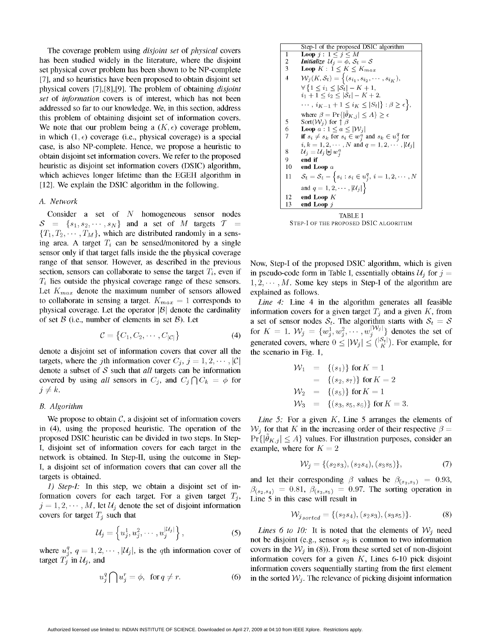The coverage problem using *disjoint set* of *physical* covers has been studied widely in the literature, where the disjoint set physical cover problem has been shown to be NP-complete [7], and so heuristics have been proposed to obtain disjoint set physical covers  $[7]$ , $[8]$ , $[9]$ . The problem of obtaining *disjoint* set of information covers is of interest, which has not been addressed so far to our knowledge. We, in this section, address this problem of obtaining disjoint set of information covers. We note that our problem being a  $(K, \epsilon)$  coverage problem, in which  $(1, \epsilon)$  coverage (i.e., physical coverage) is a special case, is also NP-complete. Hence, we propose a heuristic to obtain disjoint set information covers. We refer to the proposed heuristic as disjoint set information covers (DSIC) algorithm, which achieves longer lifetime than the EGEH algorithm in [12]. We explain the DSIC algorithm in the following.

Consider a set of N homogeneous sensor nodes<br>  $= \{s_1, s_2, \ldots, s_N\}$  and a set of M targets  $\mathcal{T} =$  STEP-LOF THE PROPOSED DSIC ALGORITHM  $S = \{s_1, s_2, \cdots, s_N\}$  and a set of M targets  $T =$  ${T_1, T_2, \cdots, T_M}$ , which are distributed randomly in a sensing area. A target  $T_i$  can be sensed/monitored by a single sensor only if that target falls inside the the physical coverage range of that sensor. However, as described in the previous Now, Step-I of the proposed DSIC algorithm, which is given section, sensors can collaborate to sense the target  $T_i$ , even if in pseudo-code form in Table I, essentially obtains  $U_j$  for  $j = T_i$  lies outside the physical coverage range of these sensors.  $1, 2, \dots, M$ . Some key steps Let  $K_{max}$  denote the maximum number of sensors allowed explained as follows. to collaborate in sensing a target.  $K_{max} = 1$  corresponds to Line 4: Line 4 in the algorithm generates all feasible physical coverage. Let the operator  $|\mathcal{B}|$  denote the cardinality information covers for a given target  $T_j$  and a given K, from of set  $\mathcal{B}$  (i.e., number of elements in set  $\mathcal{B}$ ). Let a set of sensor nodes  $S_k$ 

$$
\mathcal{C} = \{C_1, C_2, \cdots, C_{|\mathcal{C}|}\}\tag{4}
$$

denote a disjoint set of information covers that cover all the targets, where the jth information cover  $C_j$ ,  $j = 1, 2, \dots, |\mathcal{C}|$ denote a subset of  $S$  such that *all* targets can be information covered by using all sensors in  $C_j$ , and  $C_j \cap C_k = \phi$  for  $j \neq k$ .  $j \neq k$ .  $\mathcal{W}_2 = \{(s_5)\}\$  for  $K = 1$ 

in (4), using the proposed heuristic. The operation of the  $W_i$  for that K in the increasing order of their respective  $\beta =$ proposed DSIC heuristic can be divided in two steps. In Step- $\Pr\{|\theta_{K,j}| \leq A\}$  values. For illustration purposes, consider an I, disjoint set of information covers for each target in the example, where for  $K = 2$ network is obtained. In Step-II, using the outcome in Step-I, a disjoint set of information covers that can cover all the

formation covers for each target. For a given target  $T_i$ ,  $j = 1, 2, \dots, M$ , let  $\mathcal{U}_j$  denote the set of disjoint information covers for target  $T_i$  such that

$$
\mathcal{U}_j = \left\{ u_j^1, u_j^2, \cdots, u_j^{|\mathcal{U}_j|} \right\},\tag{5}
$$

$$
u_j^q \bigcap u_j^r = \phi, \ \text{ for } q \neq r. \tag{6}
$$

The coverage problem using *disjoint set* of *physical* covers  
\nhas been studied widely in the literature, where the disjoint  
\nset physical cover problem has been shown to be NP-complete  
\n[7], and so heuristics have been proposed to obtain disjoint set  
\n[7], and so heuristics have been proposed to obtain disjoint set  
\nexists *real* of *information* covers is of interest, which has not been  
\naddressed so far to our knowledge. We, in this section, address  
\nthis problem of obtaining *disjoint* set of information covers is of interest, which has not been  
\nthe order that our problem being a 
$$
(K, \epsilon)
$$
 coverage problem,  
\nin which  $(1, \epsilon)$  coverage (i.e., physical coverage) is a special  
\ncase, is also NP-complete. Hence, we propose a heuristic to  
\nobtain disjoint set information covers. We refer to the proposed  
\nheuristic as disjoint set information covers. We refer to the proposed  
\nheuristic as disjoint set information covers. We refer to the proposed  
\nthe function *in* the BGEH algorithm in  
\n[12]. We explain the DSIC algorithm in the following.  
\nA. Network  
\nA. Network  
\nBFGS<sub>1</sub> =  $U_1$ ,  $U_2$ ,  $U_3$ ,  $U_4$ ,  $U_5$ ,  $U_6$ ,  $U_7$ ,  $U_8$   
\n $U_8 = U_1$ ,  $U_9$ ,  $U_9$   
\n $U_9 = U_1$   
\n $U_1 = U_2$   
\n $U_2 = U_3$   
\n $U_3 = U_1$   
\n $U_4 = U_2$   
\n $U_5 = U_3$   
\n $U_6 = U_7$   
\n $U_7 = U_8$   
\n $U_8 = U_9$   
\n $U_9 = U_1$   
\n $U_9 = U_2$   
\n $U_9 = U_3$   
\n $U_9 = U_1$   
\n $U_9 = U_2$   
\n $U_9 = U_3$   
\n $U_9 = U_3$   
\n $U_9 = U_4$   
\n $U_9 = U_5$   
\n $U_9 = U_1$   
\n $U_9 = U_2$   
\n $U$ 

 $1, 2, \cdots, M$ . Some key steps in Step-I of the algorithm are

a set of sensor nodes  $S_t$ . The algorithm starts with  $S_t = S$ for  $K = 1$ .  $W_j = \{w_j^1, w_j^2, \cdots, w_j^{|W_j|}\}\)$  denotes the set of generated covers, where  $0 \leq |W_j| \leq {|\mathcal{S}_t| \choose K}$ . For example, for the scenario in Fig. 1,

denote a subset of S such that all targets can be information  
\ncovered by using all sensors in 
$$
C_j
$$
, and  $C_j \cap C_k = \phi$  for  
\n $j \neq k$ .  
\nB. Algorithm  
\n
$$
W_1 = \{(s_1)\} \text{ for } K = 1
$$
\n
$$
\{(\mathbf{s}_2, \mathbf{s}_7)\} \text{ for } K = 2
$$
\n
$$
\{(\mathbf{s}_2, \mathbf{s}_7)\} \text{ for } K = 2
$$
\n
$$
\{(\mathbf{s}_3, \mathbf{s}_5, \mathbf{s}_6)\} \text{ for } K = 3.
$$

We propose to obtain C, a disjoint set of information covers Line 5: For a given K, Line 5 arranges the elements of

$$
\mathcal{W}_j = \{ (s_2 s_3), (s_2 s_4), (s_3 s_5) \},\tag{7}
$$

targets is obtained.<br> *i*) Step-I: In this step, we obtain a disjoint set of in-<br>  $\alpha$ ,  $\alpha$ ,  $\alpha$ ,  $\alpha$ ,  $\alpha$ ,  $\alpha$ ,  $\alpha$ ,  $\alpha$ ,  $\alpha$ ,  $\alpha$ ,  $\alpha$ ,  $\alpha$ ,  $\alpha$ ,  $\alpha$ ,  $\alpha$ ,  $\alpha$ ,  $\alpha$ ,  $\alpha$ ,  $\alpha$ ,  $\alpha$ ,  $\alpha$ ,  $\alpha$ ,  $\alpha$ ,  $\beta_{(s_2,s_4)} = 0.81, \ \beta_{(s_3,s_5)} = 0.97$ . The sorting operation in Line 5 in this case will result in

$$
\mathcal{W}_{j_{sorted}} = \{(s_2s_4), (s_2s_3), (s_3s_5)\}.
$$
 (8)

Lines 6 to 10: It is noted that the elements of  $W_i$  need not be disjoint (e.g., sensor  $s_3$  is common to two information where  $u_j^q$ ,  $q=1,2,\cdots, |\mathcal{U}_j|$ , is the qth information cover of covers in the  $\mathcal{W}_j$  in (8)). From these sorted set of non-disjoint target  $T_j$  in  $\mathcal{U}_j$ , and information covers for a given K, Lines 6-10 pick disjoint information covers sequentially starting from the first element in the sorted  $W_j$ . The relevance of picking disjoint information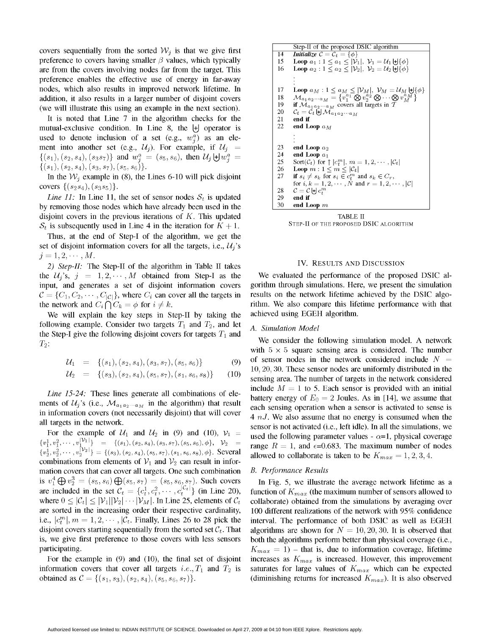covers sequentially from the sorted  $W_i$  is that we give first preference to covers having smaller  $\beta$  values, which typically are from the covers involving nodes far from the target. This preference enables the effective use of energy in far-away nodes, which also results in improved network lifetime. In  $\left| \begin{array}{cc} 17 & \text{Loop } a_M: 1 \le a_M \le |\mathcal{V}_M|, \ \mathcal{V}_M = \mathcal{U}_M \downarrow |\phi| \end{array} \right|$ preference enables the effective use of energy in far-away<br>
nodes, which also results in a larger number of disjoint covers<br>
addition, it also results in a larger number of disjoint covers<br>  $\begin{cases}\n17 & \text{Loop } a_M : 1 \le a_M \le |\mathcal{V$ (we will illustrate this using an example in the next section).

It is noted that Line 7 in the algorithm checks for the 21 end if mutual-exclusive condition. In Line 8, the  $|+]$  operator is used to denote inclusion of a set (e.g.,  $w_i^a$ ) as an element into another set (e.g.,  $\mathcal{U}_j$ ). For example, if  $\mathcal{U}_j$  =  $\{(s_1), (s_2, s_4), (s_3s_7)\}\$  and  $w_i^a = (s_5, s_6)$ , then  $\mathcal{U}_j \biguplus w_i^a = \begin{bmatrix} 24 & \text{end Loop } a_1 \\ \frac{25}{15} & \frac{8 \text{erf}(\mathcal{O}_j)}{25} \\ \frac{1}{15} & \frac{1}{15} \end{bmatrix}$  $\begin{array}{l} \mathcal{J}(81), (82, 84), (8387) f \text{ and } \omega_j = (85, 86), \text{ then } \omega_j \oplus \omega_j = \begin{cases} 25 & \text{Sort}(\mathcal{C}_t) \text{ for } \uparrow |c_t^m|, m = 1, 2, \cdots, |\mathcal{C}_t| \\ 26 & \text{Loop } m: 1 \leq m \leq |\mathcal{C}_t| \end{cases} \end{array}$ 

In the  $W_i$  example in (8), the Lines 6-10 will pick disjoint covers  $\{(s_2s_4), (s_3s_5)\}.$ 

Line 11: In Line 11, the set of sensor nodes  $S_t$  is updated by removing those nodes which have already been used in the disjoint covers in the previous iterations of K. This updated TABLE II<br>
S. is subsequently used in I ine 4 in the iteration for  $K + 1$  STEP-II OF THE PROPOSED DSIC ALGORITHM  $S_t$  is subsequently used in Line 4 in the iteration for  $K + 1$ .

Thus, at the end of Step-I of the algorithm, we get the set of disjoint information covers for all the targets, i.e.,  $U_i$ 's  $j=1,2,\cdots, M$ .

2) Step-II: The Step-II of the algorithm in Table II takes IV. RESULTS AND DISCUSSION the  $\mathcal{U}_j$ 's,  $j = 1, 2, \dots, M$  obtained from Step-I as the We evaluated the performance of the proposed DSIC alinput, and generates <sup>a</sup> set of disjoint information covers gorithm through simulations. Here, we present the simulation

We will explain the key steps in Step-Il by taking the achieved using EGEH algorithm. following example. Consider two targets  $T_1$  and  $T_2$ , and let A. Simulation Model the Step-I give the following disjoint covers for targets  $T_1$  and We consider the following simulation model. A network  $T_2$ :

$$
\mathcal{U}_1 = \{(s_1), (s_2, s_4), (s_3, s_7), (s_5, s_6)\}\tag{9}
$$

$$
\mathcal{U}_2 = \{(s_3), (s_2, s_4), (s_5, s_7), (s_1, s_6, s_8)\} \tag{10}
$$

 ${v_1^1, v_1^2, \dots, v_{b_1, b_1}^{|\mathcal{V}_1|}}^{\mathcal{V}_1|\}_{\mathcal{V}_2} = { (s_1), (s_2, s_4), (s_3, s_7), (s_5, s_6), \phi}, \quad \mathcal{V}_2 = \text{ range } R = 1, \text{ and } \epsilon = 0.683. \text{ The maximum number of nodes.}$  $\{v_2^1, v_2^2, \cdots, v_2^{|\mathcal{V}_2|}\} = \{(s_3), (s_2, s_4), (s_5, s_7), (s_1, s_6, s_8), \phi\}.$  Several allowed to collaborate is taken to be  $K_{m,n}= 1,2,3,4$ combinations from elements of  $V_1$  and  $V_2$  can result in information covers that can cover all targets. One such combination B. Performance Results is  $v_1^4 \bigoplus v_2^3 = (s_5, s_6) \bigoplus (s_5, s_7) = (s_5, s_6, s_7)$ . Such covers In Fig. 5, we illustrate the average network lifetime as a are included in the set  $\mathcal{C}_t = \{c_t^1, c_t^2, \dots, c_t^{|C_t|}\}$  (in Line 20), function of  $K_{max}$  are included in the set  $C_t = \{c_t^1, c_t^2, \cdots, c_t^{|\mathcal{C}_t|}\}\)$  (in Line 20), where  $0 \leq |\mathcal{C}_t| \leq |\mathcal{V}_1||\mathcal{V}_2|\cdots|\mathcal{V}_M|$ . In Line 25, elements of  $\mathcal{C}_t$  collaborate) obtained from the simulations by averaging over are sorted in the increasing order their respective cardinality, 100 different realizations of the network with 95% confidence i.e.,  $|c_t^m|, m = 1, 2, \cdots, |C_t|$ . Finally, Lines 26 to 28 pick the interval. The performance of both DSIC as well as EGEH disjoint covers starting sequentially from the sorted set  $C_t$ . That algorithms are shown for  $N = 10, 20, 30$ . It is observed that is, we give first preference to those covers with less sensors both the algorithms perform better than physical coverage (i.e., participating. The intervals of  $K_{max} = 1$  - that is, due to information coverage, lifetime

obtained as  $C = \{(s_1, s_3), (s_2, s_4), (s_5, s_6, s_7)\}.$  (diminishing returns for increased  $K_{max}$ ). It is also observed

|          | Step-II of the proposed DSIC algorithm                                                                   |
|----------|----------------------------------------------------------------------------------------------------------|
| 14       | Initialize $C = C_t = \{\phi\}$                                                                          |
| 15.      | Loop $a_1: 1 \leq a_1 \leq  \mathcal{V}_1 , \ \mathcal{V}_1 = \mathcal{U}_1 \biguplus {\phi}$            |
| 16       | <b>Loop</b> $a_2: 1 \le a_2 \le  \mathcal{V}_2 , \ \mathcal{V}_2 = \mathcal{U}_2   \mathcal{H}_1   \phi$ |
|          |                                                                                                          |
|          |                                                                                                          |
| 17       | <b>Loop</b> $a_M: 1 \le a_M \le  \mathcal{V}_M , \ \mathcal{V}_M = \mathcal{U}_M$ $\{\cdot\}$            |
| 18       | $\mathcal{M}_{a_1 a_2 \cdots a_M} = \{v_1^{a_1} \otimes v_2^{a_2} \otimes \cdots \otimes v_M^{a_M}\}\$   |
| 19       | if $\mathcal{M}_{a_1 a_2 \cdots a_M}$ covers all targets in T                                            |
| 20       | $\mathcal{C}_t = \mathcal{C}_t \biguplus \mathcal{M}_{a_1 a_2 \cdots a_M}$                               |
| 21       | end if                                                                                                   |
| 22       | end Loop $a_M$                                                                                           |
|          |                                                                                                          |
|          |                                                                                                          |
|          |                                                                                                          |
| 23       | end Loop $a_2$                                                                                           |
| 24       | end Loop $a_1$                                                                                           |
| 25       |                                                                                                          |
| 26       | Sort $(\mathcal{C}_t)$ for $\uparrow  c_t^m , m = 1, 2, \cdots,  \mathcal{C}_t $                         |
|          | Loop $m: 1 \leq m \leq  \mathcal{C}_t $                                                                  |
| 27       | if $s_i \neq s_k$ for $s_i \in c_i^m$ and $s_k \in C_r$ ,                                                |
|          | for $i, k = 1, 2, \cdots, N$ and $r = 1, 2, \cdots,  \mathcal{C} $                                       |
| 28       | $\mathcal{C} = \mathcal{C} \boxplus c_i^m$                                                               |
| 29<br>30 | end if<br>end Loon m                                                                                     |



 $C = \{C_1, C_2, \dots, C_{|C|}\}\$ , where  $C_i$  can cover all the targets in results on the network lifetime achieved by the DSIC algo-<br>the network and  $C_i \cap C_k = \phi$  for  $i \neq k$ .<br>in thus. We also compare this lifetime performance with rithm. We also compare this lifetime performance with that

with  $5 \times 5$  square sensing area is considered. The number of sensor nodes in the network considered include  $N =$  $10, 20, 30$ . These sensor nodes are uniformly distributed in the sensing area. The number of targets in the network considered *Line 15-24:* These lines generate all combinations of ele-<br>battery energy of  $E_0 = 2$  Joules. As in [14], we assume that ments of  $U_j$ 's (i.e.,  $\mathcal{M}_{a_1a_2\cdots a_M}$  in the algorithm) that result each sensing operation when a sensor is activated to sense is in information covers (not necessarily disjoint) that will cover  $\frac{4 nJ}{4 nJ}$ . We also assume that no energy is consumed when the all targets in the network. sensor is not activated (i.e., left idle). In all the simulations, we For the example of  $U_1$  and  $U_2$  in (9) and (10),  $V_1 = \text{used the following parameter values - } \alpha = 1$ , physical coverage

For the example in (9) and (10), the final set of disjoint increases as  $K_{max}$  is increased. However, this improvement information covers that cover all targets i.e.,  $T_1$  and  $T_2$  is saturates for large values of  $K_{max}$  which can be expected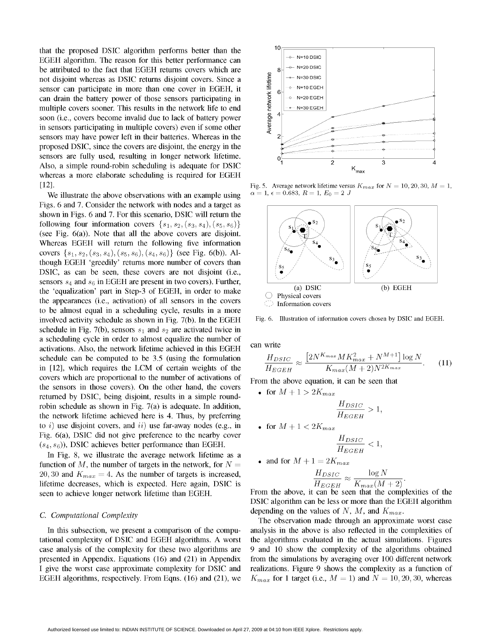that the proposed DSIC algorithm performs better than the <sup>10</sup> EGEH algorithm. The reason for this better performance can<br>be striked to the feat that EGEH asterna assessmentials are be attributed to the fact that EGEH returns covers which are<br>not disjoint whereas as DSIC returns disjoint covers. Since a<br>sensor can participate in more than one cover in EGEH, it<br>can drain the battery power of those sen not disjoint whereas as DSIC returns disjoint covers. Since a sensor can participate in more than one cover in EGEH, it  $\frac{16}{5}$   $6$   $\frac{1}{10}$   $\frac{1}{10}$  N=10 EGEH can drain the battery power of those sensors participating in  $\frac{1}{5}$   $\frac{1}{5}$   $\frac{1}{5}$   $\frac{1}{5}$   $\frac{1}{5}$   $\frac{1}{5}$   $\frac{1}{5}$   $\frac{1}{5}$   $\frac{1}{5}$   $\frac{1}{5}$   $\frac{1}{5}$   $\frac{1}{5}$   $\frac{1}{5}$   $\frac{1}{5}$   $\frac{1}{5}$   $\frac{1}{5}$ multiple covers sooner. This results in the network life to end  $\mathbb{E}$   $\mathbb{L}_{\infty}$  N=30 EGEH soon (i.e., covers become invalid due to lack of battery power in sensors participating in multiple covers) even if some other sensors may have power left in their batteries. Whereas in the proposed DSIC, since the covers are disjoint, the energy in the sensors are fully used, resulting in longer network lifetime. Also, a simple round-robin scheduling is adequate for DSIC  $K_{\text{max}}$ whereas a more elaborate scheduling is required for EGEH

We illustrate the above observations with an example using Figs. 6 and 7. Consider the network with nodes and a target as shown in Figs. 6 and 7. For this scenario, DSIC will return the following four information covers  $\{s_1,s_2,(s_3,s_4),(s_5,s_6)\}$ (see Fig.  $6(a)$ ). Note that all the above covers are disjoint. Whereas EGEH will return the following five information covers  $\{s_1, s_2, (s_3, s_4), (s_5, s_6), (s_4, s_6)\}\$  (see Fig. 6(b)). Although EGEH 'greedily' returns more number of covers than  $\left( \frac{1}{2} \right)^{3}$ DSIC, as can be seen, these covers are not disjoint (i.e., sensors  $s_4$  and  $s_6$  in EGEH are present in two covers). Further, the 'equalization' part in Step-3 of EGEH, in order to make  $\bigcirc$  Physical covers (b) EGEH the appearances (i.e., activation) of all sensors in the covers  $\sum_{n=1}^{\infty}$  Information covers to be almost equal in a scheduling cycle, results in a more involved activity schedule as shown in Fig. 7(b). In the EGEH Fig. 6. Illustration of information covers chosen by DSIC and EGEH. schedule in Fig. 7(b), sensors  $s_1$  and  $s_2$  are activated twice in a scheduling cycle in order to almost equalize the number of activations. Also, the network lifetime achieved in this EGEH can write schedule can be computed to be  $3.5$  (using the formulation in  $[12]$ , which requires the LCM of certain weights of the covers which are proportional to the number of activations of From the above equation, it can be seen that the sensors in those covers). On the other hand, the covers  $\bullet$  for  $M+1 > 2K_{max}$ returned by DSIC, being disjoint, results in a simple roundrobin schedule as shown in Fig. 7(a) is adequate. In addition,  $H_{DSIC}$ the network lifetime achieved here is 4. Thus, by preferring to i) use disjoint covers, and ii) use far-away nodes (e.g., in Fig.  $6(a)$ , DSIC did not give preference to the nearby cover  $(s_4, s_6)$ ), DSIC achieves better performance than EGEH.

In Fig. 8, we illustrate the average network lifetime as a function of M, the number of targets in the network, for  $N =$ 20, 30 and  $K_{max} = 4$ . As the number of targets is increased, lifetime decreases, which is expected. Here again, DSIC is  $H_{EGEH} = H_{EGEH} = K_{max} (M + 2)$ <br>seen to achieve longer network lifetime than EGEH From the above, it can be seen that the complexities of the seen to achieve longer network lifetime than EGEH.

EGEH algorithms, respectively. From Eqns. (16) and (21), we  $K_{max}$  for 1 target (i.e.,  $M = 1$ ) and  $N = 10, 20, 30$ , whereas



[12].<br>We illustrate the above observations with an example using  $\alpha = 1$ ,  $\epsilon = 0.683$ ,  $R = 1$ ,  $E_0 = 2$  J



$$
\frac{H_{DSIC}}{H_{EGEH}} \approx \frac{\left[2N^{K_{max}}MK_{max}^2 + N^{M+1}\right] \log N}{K_{max}(M+2)N^{2K_{max}}}.\tag{11}
$$

$$
\frac{H_{DSIC}}{H_{EGEH}} > 1,
$$

for 
$$
M + 1 < 2K_{max}
$$

$$
\frac{H_{DSIC}}{H_{EGEH}} < 1,
$$

• and for 
$$
M + 1 = 2K_{max}
$$

$$
\frac{H_{DSIC}}{H_{EGEH}} \approx \frac{\log N}{K_{max}(M+2)}.
$$

DSIC algorithm can be less or more than the EGEH algorithm C. Computational Complexity depending on the values of N, M, and  $K_{max}$ .<br>The observation made through an approximate worst case

In this subsection, we present a comparison of the compu- analysis in the above is also reflected in the complexities of tational complexity of DSIC and EGEH algorithms. A worst the algorithms evaluated in the actual simulations. Figures case analysis of the complexity for these two algorithms are 9 and 10 show the complexity of the algorithms obtained presented in Appendix. Equations (16) and (21) in Appendix from the simulations by averaging over 100 different network <sup>I</sup> give the worst case approximate complexity for DSIC and realizations. Figure 9 shows the complexity as <sup>a</sup> function of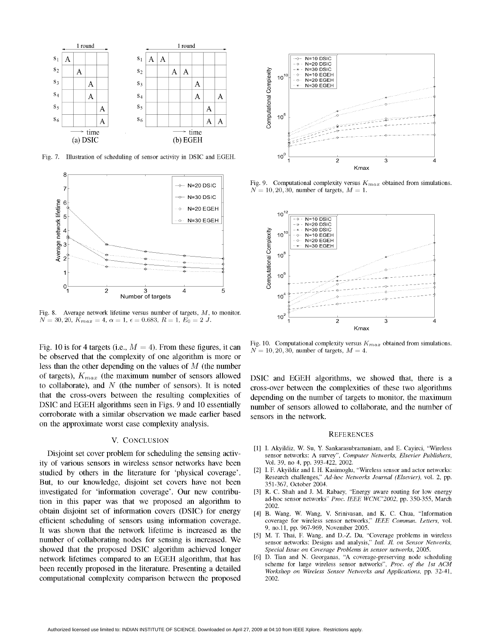



Fig. 8. Average network lifetime versus number of targets,  $M$ , to monitor.  $N = 30, 20, K_{max} = 4, \alpha = 1, \epsilon = 0.683, R = 1, E_0 = 2 J.$  10<sup>2</sup> 1 2 3

be observed that the complexity of one algorithm is more or less than the other depending on the values of  $M$  (the number<br>of targets),  $K_{max}$  (the maximum number of sensors allowed corroborate with a similar observation we made earlier based sensors in the network. on the approximate worst case complexity analysis.

## V. CONCLUSION

ity of various sensors in wireless sensor networks have been Vol. 39, no 4, pp. 393-422, 2002.<br>studied by others in the literature for 'physical coverage' [2] I. F. Akyildiz and I. H. Kasimoglu, "Wireless sensor and actor studied by others in the literature for 'physical coverage'.<br>But, to our knowledge, disjoint set covers have not been  $\frac{2}{351-367}$ , October 2004. But, to our knowledge, disjoint set covers have not been investigated for 'information coverage'. Our new contribu-<br>
in this paper was that we proposed an algorithm to ad-hoc sensor networks" Proc. IEEE WCNC'2002, pp. 350-355, March tion in this paper was that we proposed an algorithm to obtain disjoint set of information covers (DSIC) for energy efficient scheduling of sensors using information coverage. coverage for wireless sensor networks," IEEE Commun. Letters, vol.<br>It was shown that the network lifetime is increased as the 9, no.11, pp. 967-969, November 2005 It was shown that the network lifetime is increased as the  $\frac{9}{5}$ , no.11, pp. 967-969, November 2005. number of collaborating nodes for sensing is increased. We sensor networks: Designs and analysis," Intl. Jl. on Sensor Networks, showed that the proposed DSIC algorithm achieved longer Special Issue on Coverage Problems in sensor networks, 2005.<br>
network lifetimes compared to an EGEH algorithm that has [6] D. Tian and N. Georganas, "A coverage-prese network lifetimes compared to an EGEH algorithm, that has<br>been recently proposed in the literature. Presenting a detailed<br>been recently proposed in the literature. Presenting a detailed<br>workshop on Wireless Sensor Networks computational complexity comparison between the proposed 2002.



N=20 DSIC Fig. 9. Computational complexity versus  $K_{max}$  obtained from simulations.



Fig. 10 is for 4 targets (i.e.,  $M = 4$ ). From these figures, it can Fig. 10. Computational complexity versus  $K_{max}$  obtained from simulations.

DSIC and EGEH algorithms, we showed that, there is a to collaborate), and  $N$  (the number of sensors). It is noted cross-over between the complexities of these two algorithms that the cross-overs between the resulting complexities of depending on the number of targets to monitor, the maximum DSIC and EGEH algorithms seen in Figs. 9 and 10 essentially number of sensors allowed to collaborate, and the number of

### **REFERENCES**

- [1] I. Akyildiz, W. Su, Y. Sankarasubramaniam, and E. Cayirci, "Wireless Disjoint set cover problem for scheduling the sensing activ-<br>
The sensor networks: A survey", Computer Networks, Elsevier Publishers,<br>
The Sensing Sensing Sensing Sensing Sensing Sensing Sensing Sensing Sensing Sensing Sen
	-
	- 2002.
	- [4] B. Wang, W. Wang, V. Srinivasan, and K. C. Chua, "Information
	-
	-